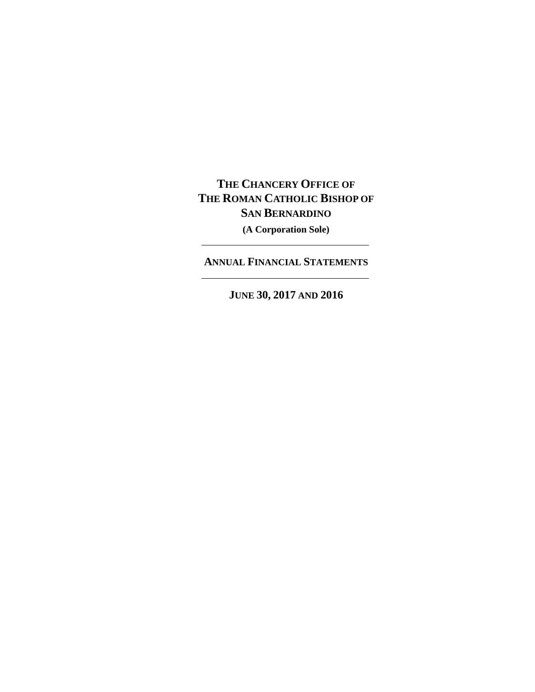# **THE CHANCERY OFFICE OF THE ROMAN CATHOLIC BISHOP OF SAN BERNARDINO**

**(A Corporation Sole)** 

# **ANNUAL FINANCIAL STATEMENTS**

**JUNE 30, 2017 AND 2016**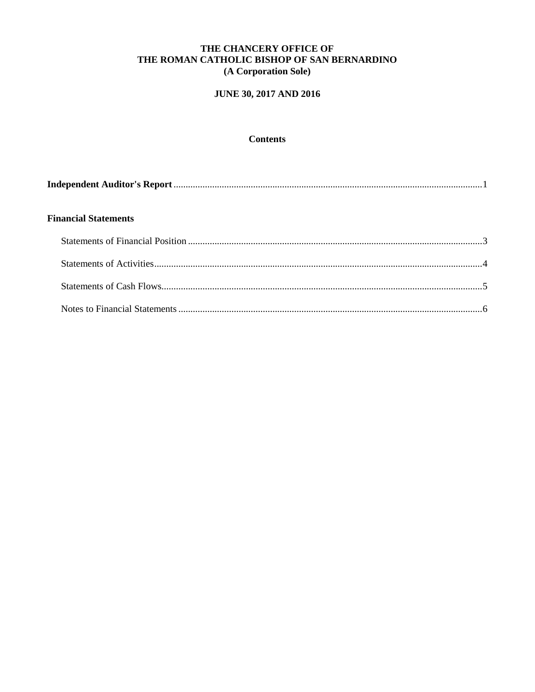# **JUNE 30, 2017 AND 2016**

#### **Contents**

| <b>Financial Statements</b> |  |
|-----------------------------|--|
|                             |  |
|                             |  |
|                             |  |
|                             |  |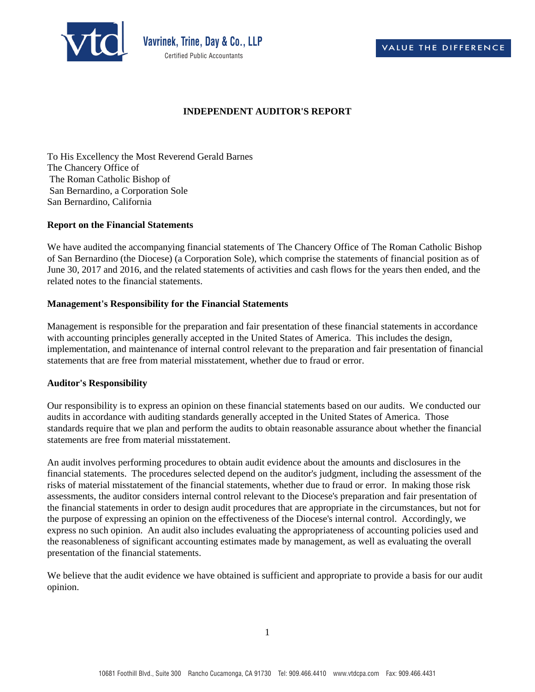

#### **INDEPENDENT AUDITOR'S REPORT**

To His Excellency the Most Reverend Gerald Barnes The Chancery Office of The Roman Catholic Bishop of San Bernardino, a Corporation Sole San Bernardino, California

#### **Report on the Financial Statements**

We have audited the accompanying financial statements of The Chancery Office of The Roman Catholic Bishop of San Bernardino (the Diocese) (a Corporation Sole), which comprise the statements of financial position as of June 30, 2017 and 2016, and the related statements of activities and cash flows for the years then ended, and the related notes to the financial statements.

#### **Management's Responsibility for the Financial Statements**

Management is responsible for the preparation and fair presentation of these financial statements in accordance with accounting principles generally accepted in the United States of America. This includes the design, implementation, and maintenance of internal control relevant to the preparation and fair presentation of financial statements that are free from material misstatement, whether due to fraud or error.

#### **Auditor's Responsibility**

Our responsibility is to express an opinion on these financial statements based on our audits. We conducted our audits in accordance with auditing standards generally accepted in the United States of America. Those standards require that we plan and perform the audits to obtain reasonable assurance about whether the financial statements are free from material misstatement.

An audit involves performing procedures to obtain audit evidence about the amounts and disclosures in the financial statements. The procedures selected depend on the auditor's judgment, including the assessment of the risks of material misstatement of the financial statements, whether due to fraud or error. In making those risk assessments, the auditor considers internal control relevant to the Diocese's preparation and fair presentation of the financial statements in order to design audit procedures that are appropriate in the circumstances, but not for the purpose of expressing an opinion on the effectiveness of the Diocese's internal control. Accordingly, we express no such opinion. An audit also includes evaluating the appropriateness of accounting policies used and the reasonableness of significant accounting estimates made by management, as well as evaluating the overall presentation of the financial statements.

We believe that the audit evidence we have obtained is sufficient and appropriate to provide a basis for our audit opinion.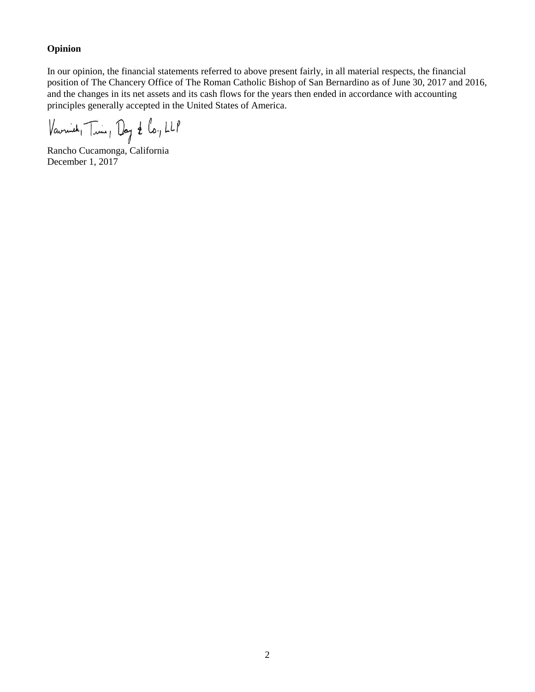## **Opinion**

In our opinion, the financial statements referred to above present fairly, in all material respects, the financial position of The Chancery Office of The Roman Catholic Bishop of San Bernardino as of June 30, 2017 and 2016, and the changes in its net assets and its cash flows for the years then ended in accordance with accounting principles generally accepted in the United States of America.

Varmich, Tim, Day & Co., LLP

Rancho Cucamonga, California December 1, 2017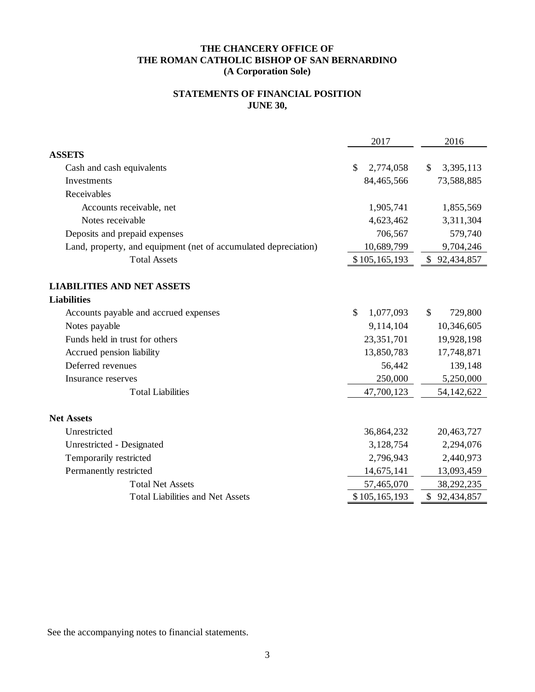# **STATEMENTS OF FINANCIAL POSITION JUNE 30,**

|                                                                 | 2017            | 2016                    |
|-----------------------------------------------------------------|-----------------|-------------------------|
| <b>ASSETS</b>                                                   |                 |                         |
| Cash and cash equivalents                                       | \$<br>2,774,058 | 3,395,113<br>\$         |
| Investments                                                     | 84,465,566      | 73,588,885              |
| Receivables                                                     |                 |                         |
| Accounts receivable, net                                        | 1,905,741       | 1,855,569               |
| Notes receivable                                                | 4,623,462       | 3,311,304               |
| Deposits and prepaid expenses                                   | 706,567         | 579,740                 |
| Land, property, and equipment (net of accumulated depreciation) | 10,689,799      | 9,704,246               |
| <b>Total Assets</b>                                             | \$105,165,193   | \$92,434,857            |
| <b>LIABILITIES AND NET ASSETS</b>                               |                 |                         |
| <b>Liabilities</b>                                              |                 |                         |
| Accounts payable and accrued expenses                           | \$<br>1,077,093 | $\mathbb{S}$<br>729,800 |
| Notes payable                                                   | 9,114,104       | 10,346,605              |
| Funds held in trust for others                                  | 23,351,701      | 19,928,198              |
| Accrued pension liability                                       | 13,850,783      | 17,748,871              |
| Deferred revenues                                               | 56,442          | 139,148                 |
| Insurance reserves                                              | 250,000         | 5,250,000               |
| <b>Total Liabilities</b>                                        | 47,700,123      | 54,142,622              |
| <b>Net Assets</b>                                               |                 |                         |
| Unrestricted                                                    | 36,864,232      | 20,463,727              |
| Unrestricted - Designated                                       | 3,128,754       | 2,294,076               |
| Temporarily restricted                                          | 2,796,943       | 2,440,973               |
| Permanently restricted                                          | 14,675,141      | 13,093,459              |
| <b>Total Net Assets</b>                                         | 57,465,070      | 38,292,235              |
| <b>Total Liabilities and Net Assets</b>                         | \$105,165,193   | \$92,434,857            |

See the accompanying notes to financial statements.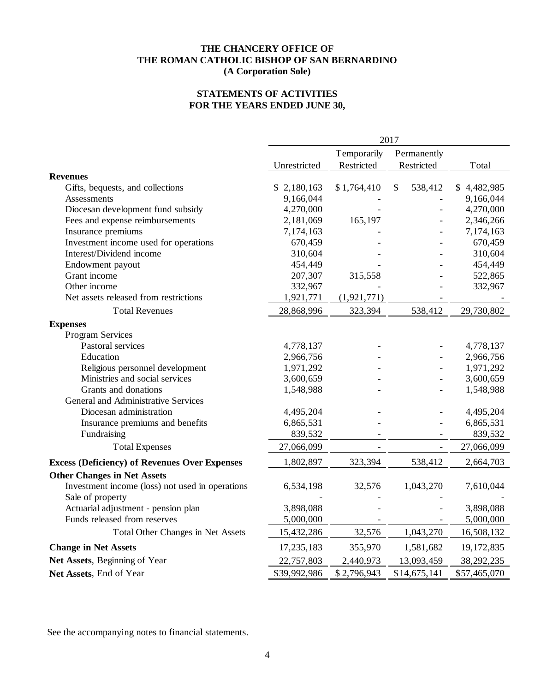# **STATEMENTS OF ACTIVITIES FOR THE YEARS ENDED JUNE 30,**

|                                                      | 2017                       |             |                         |              |
|------------------------------------------------------|----------------------------|-------------|-------------------------|--------------|
|                                                      | Temporarily<br>Permanently |             |                         |              |
|                                                      | Unrestricted               | Restricted  | Restricted              | Total        |
| <b>Revenues</b>                                      |                            |             |                         |              |
| Gifts, bequests, and collections                     | \$2,180,163                | \$1,764,410 | $\mathbb{S}$<br>538,412 | \$4,482,985  |
| Assessments                                          | 9,166,044                  |             |                         | 9,166,044    |
| Diocesan development fund subsidy                    | 4,270,000                  |             |                         | 4,270,000    |
| Fees and expense reimbursements                      | 2,181,069                  | 165,197     |                         | 2,346,266    |
| Insurance premiums                                   | 7,174,163                  |             |                         | 7,174,163    |
| Investment income used for operations                | 670,459                    |             |                         | 670,459      |
| Interest/Dividend income                             | 310,604                    |             |                         | 310,604      |
| Endowment payout                                     | 454,449                    |             |                         | 454,449      |
| Grant income                                         | 207,307                    | 315,558     |                         | 522,865      |
| Other income                                         | 332,967                    |             |                         | 332,967      |
| Net assets released from restrictions                | 1,921,771                  | (1,921,771) |                         |              |
| <b>Total Revenues</b>                                | 28,868,996                 | 323,394     | 538,412                 | 29,730,802   |
| <b>Expenses</b>                                      |                            |             |                         |              |
| <b>Program Services</b>                              |                            |             |                         |              |
| Pastoral services                                    | 4,778,137                  |             |                         | 4,778,137    |
| Education                                            | 2,966,756                  |             |                         | 2,966,756    |
| Religious personnel development                      | 1,971,292                  |             |                         | 1,971,292    |
| Ministries and social services                       | 3,600,659                  |             |                         | 3,600,659    |
| Grants and donations                                 | 1,548,988                  |             |                         | 1,548,988    |
| General and Administrative Services                  |                            |             |                         |              |
| Diocesan administration                              | 4,495,204                  |             |                         | 4,495,204    |
| Insurance premiums and benefits                      | 6,865,531                  |             |                         | 6,865,531    |
| Fundraising                                          | 839,532                    |             |                         | 839,532      |
| <b>Total Expenses</b>                                | 27,066,099                 |             |                         | 27,066,099   |
| <b>Excess (Deficiency) of Revenues Over Expenses</b> | 1,802,897                  | 323,394     | 538,412                 | 2,664,703    |
| <b>Other Changes in Net Assets</b>                   |                            |             |                         |              |
| Investment income (loss) not used in operations      | 6,534,198                  | 32,576      | 1,043,270               | 7,610,044    |
| Sale of property                                     |                            |             |                         |              |
| Actuarial adjustment - pension plan                  | 3,898,088                  |             |                         | 3,898,088    |
| Funds released from reserves                         | 5,000,000                  |             |                         | 5,000,000    |
| Total Other Changes in Net Assets                    | 15,432,286                 | 32,576      | 1,043,270               | 16,508,132   |
| <b>Change in Net Assets</b>                          | 17,235,183                 | 355,970     | 1,581,682               | 19,172,835   |
| Net Assets, Beginning of Year                        | 22,757,803                 | 2,440,973   | 13,093,459              | 38,292,235   |
| Net Assets, End of Year                              | \$39,992,986               | \$2,796,943 | \$14,675,141            | \$57,465,070 |

See the accompanying notes to financial statements.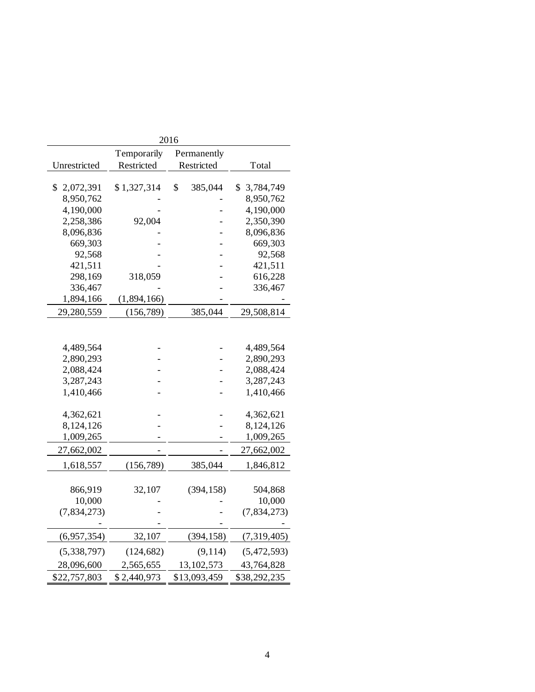| 2016                       |             |               |              |  |
|----------------------------|-------------|---------------|--------------|--|
| Temporarily<br>Permanently |             |               |              |  |
| Unrestricted               | Restricted  | Restricted    | Total        |  |
|                            |             |               |              |  |
| \$<br>2,072,391            | \$1,327,314 | \$<br>385,044 | \$3,784,749  |  |
| 8,950,762                  |             |               | 8,950,762    |  |
| 4,190,000                  |             |               | 4,190,000    |  |
| 2,258,386                  | 92,004      |               | 2,350,390    |  |
| 8,096,836                  |             |               | 8,096,836    |  |
| 669,303                    |             |               | 669,303      |  |
| 92,568                     |             |               | 92,568       |  |
| 421,511                    |             |               | 421,511      |  |
| 298,169                    | 318,059     |               | 616,228      |  |
| 336,467                    |             |               | 336,467      |  |
| 1,894,166                  | (1,894,166) |               |              |  |
| 29,280,559                 | (156, 789)  | 385,044       | 29,508,814   |  |
|                            |             |               |              |  |
|                            |             |               |              |  |
| 4,489,564                  |             |               | 4,489,564    |  |
| 2,890,293                  |             |               | 2,890,293    |  |
| 2,088,424                  |             |               | 2,088,424    |  |
| 3,287,243                  |             |               | 3,287,243    |  |
| 1,410,466                  |             |               | 1,410,466    |  |
|                            |             |               |              |  |
| 4,362,621                  |             |               | 4,362,621    |  |
| 8,124,126                  |             |               | 8,124,126    |  |
| 1,009,265                  |             |               | 1,009,265    |  |
| 27,662,002                 |             |               | 27,662,002   |  |
| 1,618,557                  | (156, 789)  | 385,044       | 1,846,812    |  |
|                            |             |               |              |  |
| 866,919                    | 32,107      | (394, 158)    | 504,868      |  |
| 10,000                     |             |               | 10,000       |  |
| (7,834,273)                |             |               | (7,834,273)  |  |
|                            |             |               |              |  |
| (6,957,354)                | 32,107      | (394, 158)    | (7,319,405)  |  |
| (5,338,797)                | (124, 682)  | (9, 114)      | (5,472,593)  |  |
| 28,096,600                 | 2,565,655   | 13, 102, 573  | 43,764,828   |  |
|                            |             |               |              |  |
| \$22,757,803               | \$2,440,973 | \$13,093,459  | \$38,292,235 |  |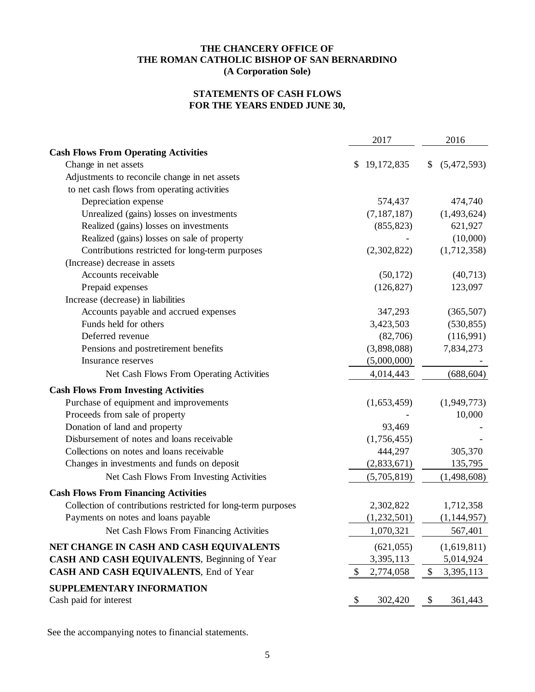## **STATEMENTS OF CASH FLOWS FOR THE YEARS ENDED JUNE 30,**

|                                                               | 2017               | 2016              |
|---------------------------------------------------------------|--------------------|-------------------|
| <b>Cash Flows From Operating Activities</b>                   |                    |                   |
| Change in net assets                                          | \$<br>19, 172, 835 | \$<br>(5,472,593) |
| Adjustments to reconcile change in net assets                 |                    |                   |
| to net cash flows from operating activities                   |                    |                   |
| Depreciation expense                                          | 574,437            | 474,740           |
| Unrealized (gains) losses on investments                      | (7, 187, 187)      | (1,493,624)       |
| Realized (gains) losses on investments                        | (855, 823)         | 621,927           |
| Realized (gains) losses on sale of property                   |                    | (10,000)          |
| Contributions restricted for long-term purposes               | (2,302,822)        | (1,712,358)       |
| (Increase) decrease in assets                                 |                    |                   |
| Accounts receivable                                           | (50, 172)          | (40, 713)         |
| Prepaid expenses                                              | (126, 827)         | 123,097           |
| Increase (decrease) in liabilities                            |                    |                   |
| Accounts payable and accrued expenses                         | 347,293            | (365, 507)        |
| Funds held for others                                         | 3,423,503          | (530, 855)        |
| Deferred revenue                                              | (82,706)           | (116,991)         |
| Pensions and postretirement benefits                          | (3,898,088)        | 7,834,273         |
| Insurance reserves                                            | (5,000,000)        |                   |
| Net Cash Flows From Operating Activities                      | 4,014,443          | (688, 604)        |
| <b>Cash Flows From Investing Activities</b>                   |                    |                   |
| Purchase of equipment and improvements                        | (1,653,459)        | (1,949,773)       |
| Proceeds from sale of property                                |                    | 10,000            |
| Donation of land and property                                 | 93,469             |                   |
| Disbursement of notes and loans receivable                    | (1,756,455)        |                   |
| Collections on notes and loans receivable                     | 444,297            | 305,370           |
| Changes in investments and funds on deposit                   | (2,833,671)        | 135,795           |
| Net Cash Flows From Investing Activities                      | (5,705,819)        | (1,498,608)       |
| <b>Cash Flows From Financing Activities</b>                   |                    |                   |
| Collection of contributions restricted for long-term purposes | 2,302,822          | 1,712,358         |
| Payments on notes and loans payable                           | (1,232,501)        | (1,144,957)       |
| Net Cash Flows From Financing Activities                      | 1,070,321          | 567,401           |
| NET CHANGE IN CASH AND CASH EQUIVALENTS                       | (621, 055)         | (1,619,811)       |
| <b>CASH AND CASH EQUIVALENTS, Beginning of Year</b>           | 3,395,113          | 5,014,924         |
| CASH AND CASH EQUIVALENTS, End of Year                        | \$<br>2,774,058    | \$<br>3,395,113   |
| <b>SUPPLEMENTARY INFORMATION</b>                              |                    |                   |
| Cash paid for interest                                        | \$<br>302,420      | \$<br>361,443     |

See the accompanying notes to financial statements.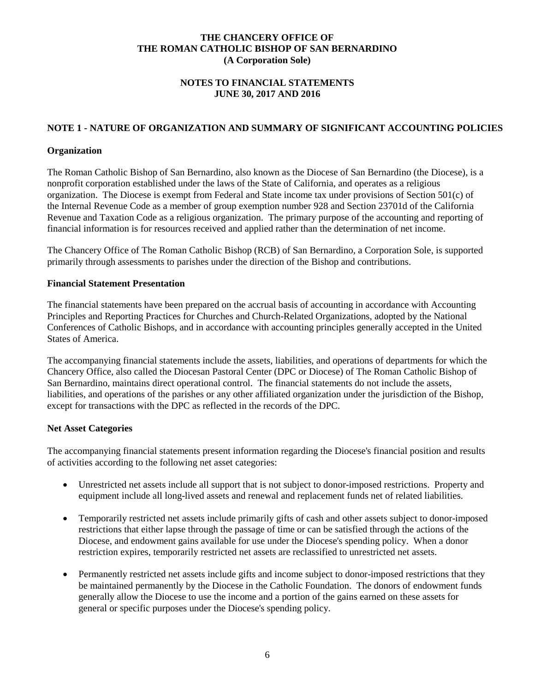## **NOTES TO FINANCIAL STATEMENTS JUNE 30, 2017 AND 2016**

# **NOTE 1 - NATURE OF ORGANIZATION AND SUMMARY OF SIGNIFICANT ACCOUNTING POLICIES**

## **Organization**

The Roman Catholic Bishop of San Bernardino, also known as the Diocese of San Bernardino (the Diocese), is a nonprofit corporation established under the laws of the State of California, and operates as a religious organization. The Diocese is exempt from Federal and State income tax under provisions of Section 501(c) of the Internal Revenue Code as a member of group exemption number 928 and Section 23701d of the California Revenue and Taxation Code as a religious organization. The primary purpose of the accounting and reporting of financial information is for resources received and applied rather than the determination of net income.

The Chancery Office of The Roman Catholic Bishop (RCB) of San Bernardino, a Corporation Sole, is supported primarily through assessments to parishes under the direction of the Bishop and contributions.

## **Financial Statement Presentation**

The financial statements have been prepared on the accrual basis of accounting in accordance with Accounting Principles and Reporting Practices for Churches and Church-Related Organizations, adopted by the National Conferences of Catholic Bishops, and in accordance with accounting principles generally accepted in the United States of America.

The accompanying financial statements include the assets, liabilities, and operations of departments for which the Chancery Office, also called the Diocesan Pastoral Center (DPC or Diocese) of The Roman Catholic Bishop of San Bernardino, maintains direct operational control. The financial statements do not include the assets, liabilities, and operations of the parishes or any other affiliated organization under the jurisdiction of the Bishop, except for transactions with the DPC as reflected in the records of the DPC.

#### **Net Asset Categories**

The accompanying financial statements present information regarding the Diocese's financial position and results of activities according to the following net asset categories:

- Unrestricted net assets include all support that is not subject to donor-imposed restrictions. Property and equipment include all long-lived assets and renewal and replacement funds net of related liabilities.
- Temporarily restricted net assets include primarily gifts of cash and other assets subject to donor-imposed restrictions that either lapse through the passage of time or can be satisfied through the actions of the Diocese, and endowment gains available for use under the Diocese's spending policy. When a donor restriction expires, temporarily restricted net assets are reclassified to unrestricted net assets.
- Permanently restricted net assets include gifts and income subject to donor-imposed restrictions that they be maintained permanently by the Diocese in the Catholic Foundation. The donors of endowment funds generally allow the Diocese to use the income and a portion of the gains earned on these assets for general or specific purposes under the Diocese's spending policy.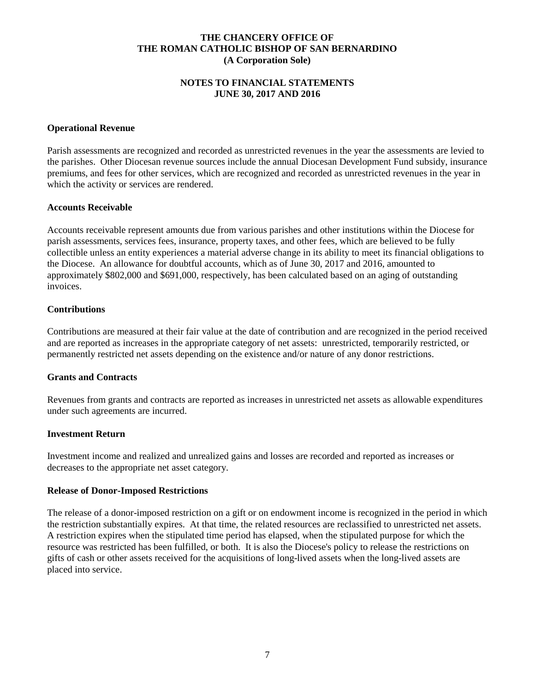## **NOTES TO FINANCIAL STATEMENTS JUNE 30, 2017 AND 2016**

#### **Operational Revenue**

Parish assessments are recognized and recorded as unrestricted revenues in the year the assessments are levied to the parishes. Other Diocesan revenue sources include the annual Diocesan Development Fund subsidy, insurance premiums, and fees for other services, which are recognized and recorded as unrestricted revenues in the year in which the activity or services are rendered.

#### **Accounts Receivable**

Accounts receivable represent amounts due from various parishes and other institutions within the Diocese for parish assessments, services fees, insurance, property taxes, and other fees, which are believed to be fully collectible unless an entity experiences a material adverse change in its ability to meet its financial obligations to the Diocese. An allowance for doubtful accounts, which as of June 30, 2017 and 2016, amounted to approximately \$802,000 and \$691,000, respectively, has been calculated based on an aging of outstanding invoices.

#### **Contributions**

Contributions are measured at their fair value at the date of contribution and are recognized in the period received and are reported as increases in the appropriate category of net assets: unrestricted, temporarily restricted, or permanently restricted net assets depending on the existence and/or nature of any donor restrictions.

#### **Grants and Contracts**

Revenues from grants and contracts are reported as increases in unrestricted net assets as allowable expenditures under such agreements are incurred.

#### **Investment Return**

Investment income and realized and unrealized gains and losses are recorded and reported as increases or decreases to the appropriate net asset category.

#### **Release of Donor-Imposed Restrictions**

The release of a donor-imposed restriction on a gift or on endowment income is recognized in the period in which the restriction substantially expires. At that time, the related resources are reclassified to unrestricted net assets. A restriction expires when the stipulated time period has elapsed, when the stipulated purpose for which the resource was restricted has been fulfilled, or both. It is also the Diocese's policy to release the restrictions on gifts of cash or other assets received for the acquisitions of long-lived assets when the long-lived assets are placed into service.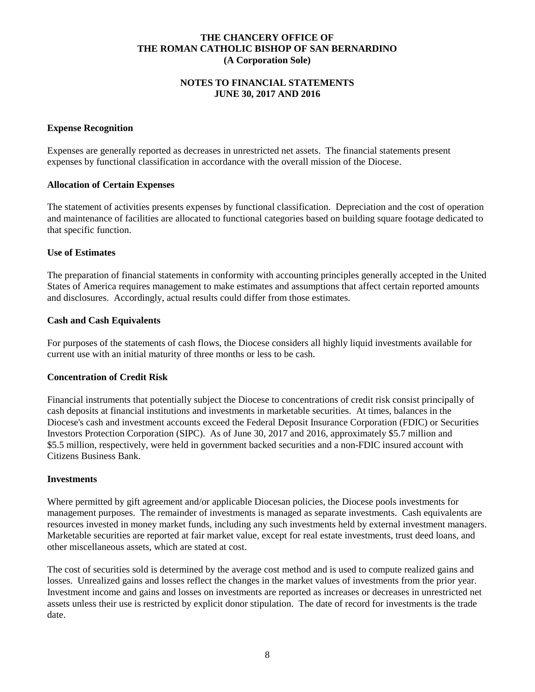## **NOTES TO FINANCIAL STATEMENTS JUNE 30, 2017 AND 2016**

#### **Expense Recognition**

Expenses are generally reported as decreases in unrestricted net assets. The financial statements present expenses by functional classification in accordance with the overall mission of the Diocese.

#### **Allocation of Certain Expenses**

The statement of activities presents expenses by functional classification. Depreciation and the cost of operation and maintenance of facilities are allocated to functional categories based on building square footage dedicated to that specific function.

## **Use of Estimates**

The preparation of financial statements in conformity with accounting principles generally accepted in the United States of America requires management to make estimates and assumptions that affect certain reported amounts and disclosures. Accordingly, actual results could differ from those estimates.

#### **Cash and Cash Equivalents**

For purposes of the statements of cash flows, the Diocese considers all highly liquid investments available for current use with an initial maturity of three months or less to be cash.

#### **Concentration of Credit Risk**

Financial instruments that potentially subject the Diocese to concentrations of credit risk consist principally of cash deposits at financial institutions and investments in marketable securities. At times, balances in the Diocese's cash and investment accounts exceed the Federal Deposit Insurance Corporation (FDIC) or Securities Investors Protection Corporation (SIPC). As of June 30, 2017 and 2016, approximately \$5.7 million and \$5.5 million, respectively, were held in government backed securities and a non-FDIC insured account with Citizens Business Bank.

#### **Investments**

Where permitted by gift agreement and/or applicable Diocesan policies, the Diocese pools investments for management purposes. The remainder of investments is managed as separate investments. Cash equivalents are resources invested in money market funds, including any such investments held by external investment managers. Marketable securities are reported at fair market value, except for real estate investments, trust deed loans, and other miscellaneous assets, which are stated at cost.

The cost of securities sold is determined by the average cost method and is used to compute realized gains and losses. Unrealized gains and losses reflect the changes in the market values of investments from the prior year. Investment income and gains and losses on investments are reported as increases or decreases in unrestricted net assets unless their use is restricted by explicit donor stipulation. The date of record for investments is the trade date.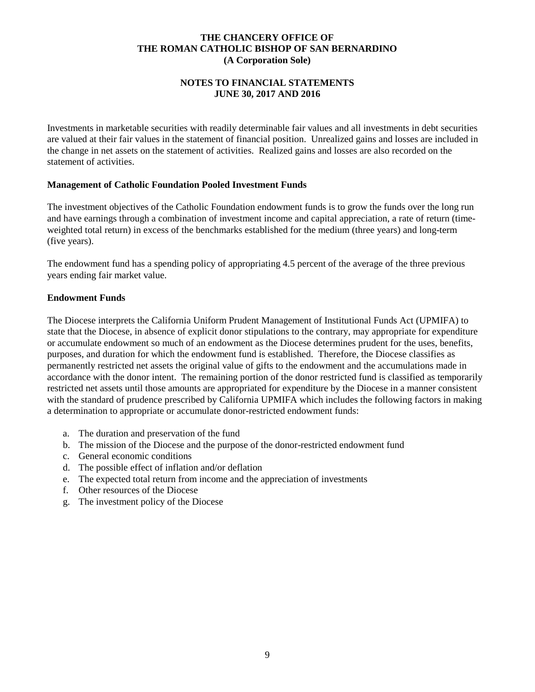## **NOTES TO FINANCIAL STATEMENTS JUNE 30, 2017 AND 2016**

Investments in marketable securities with readily determinable fair values and all investments in debt securities are valued at their fair values in the statement of financial position. Unrealized gains and losses are included in the change in net assets on the statement of activities. Realized gains and losses are also recorded on the statement of activities.

## **Management of Catholic Foundation Pooled Investment Funds**

The investment objectives of the Catholic Foundation endowment funds is to grow the funds over the long run and have earnings through a combination of investment income and capital appreciation, a rate of return (timeweighted total return) in excess of the benchmarks established for the medium (three years) and long-term (five years).

The endowment fund has a spending policy of appropriating 4.5 percent of the average of the three previous years ending fair market value.

## **Endowment Funds**

The Diocese interprets the California Uniform Prudent Management of Institutional Funds Act (UPMIFA) to state that the Diocese, in absence of explicit donor stipulations to the contrary, may appropriate for expenditure or accumulate endowment so much of an endowment as the Diocese determines prudent for the uses, benefits, purposes, and duration for which the endowment fund is established. Therefore, the Diocese classifies as permanently restricted net assets the original value of gifts to the endowment and the accumulations made in accordance with the donor intent. The remaining portion of the donor restricted fund is classified as temporarily restricted net assets until those amounts are appropriated for expenditure by the Diocese in a manner consistent with the standard of prudence prescribed by California UPMIFA which includes the following factors in making a determination to appropriate or accumulate donor-restricted endowment funds:

- a. The duration and preservation of the fund
- b. The mission of the Diocese and the purpose of the donor-restricted endowment fund
- c. General economic conditions
- d. The possible effect of inflation and/or deflation
- e. The expected total return from income and the appreciation of investments
- f. Other resources of the Diocese
- g. The investment policy of the Diocese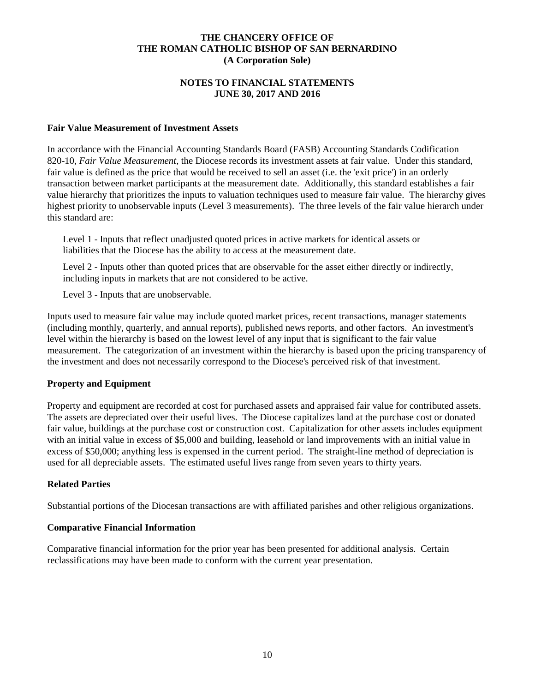#### **NOTES TO FINANCIAL STATEMENTS JUNE 30, 2017 AND 2016**

#### **Fair Value Measurement of Investment Assets**

In accordance with the Financial Accounting Standards Board (FASB) Accounting Standards Codification 820-10, *Fair Value Measurement*, the Diocese records its investment assets at fair value. Under this standard, fair value is defined as the price that would be received to sell an asset (i.e. the 'exit price') in an orderly transaction between market participants at the measurement date. Additionally, this standard establishes a fair value hierarchy that prioritizes the inputs to valuation techniques used to measure fair value. The hierarchy gives highest priority to unobservable inputs (Level 3 measurements). The three levels of the fair value hierarch under this standard are:

Level 1 - Inputs that reflect unadjusted quoted prices in active markets for identical assets or liabilities that the Diocese has the ability to access at the measurement date.

Level 2 - Inputs other than quoted prices that are observable for the asset either directly or indirectly, including inputs in markets that are not considered to be active.

Level 3 - Inputs that are unobservable.

Inputs used to measure fair value may include quoted market prices, recent transactions, manager statements (including monthly, quarterly, and annual reports), published news reports, and other factors. An investment's level within the hierarchy is based on the lowest level of any input that is significant to the fair value measurement. The categorization of an investment within the hierarchy is based upon the pricing transparency of the investment and does not necessarily correspond to the Diocese's perceived risk of that investment.

#### **Property and Equipment**

Property and equipment are recorded at cost for purchased assets and appraised fair value for contributed assets. The assets are depreciated over their useful lives. The Diocese capitalizes land at the purchase cost or donated fair value, buildings at the purchase cost or construction cost. Capitalization for other assets includes equipment with an initial value in excess of \$5,000 and building, leasehold or land improvements with an initial value in excess of \$50,000; anything less is expensed in the current period. The straight-line method of depreciation is used for all depreciable assets. The estimated useful lives range from seven years to thirty years.

#### **Related Parties**

Substantial portions of the Diocesan transactions are with affiliated parishes and other religious organizations.

#### **Comparative Financial Information**

Comparative financial information for the prior year has been presented for additional analysis. Certain reclassifications may have been made to conform with the current year presentation.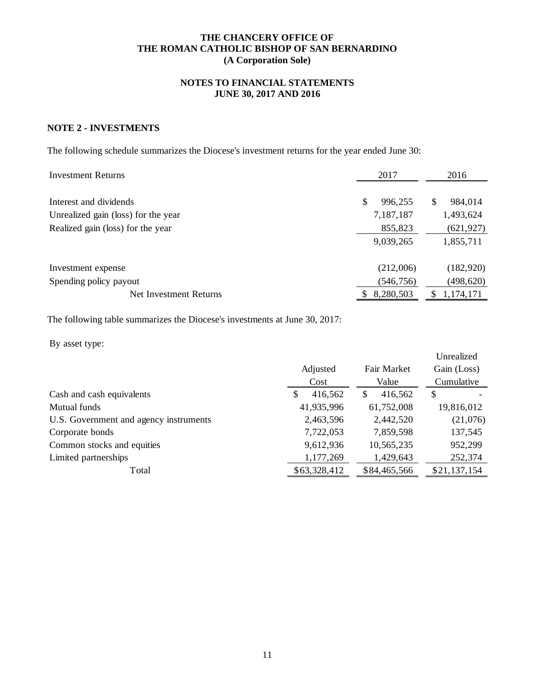## **NOTES TO FINANCIAL STATEMENTS JUNE 30, 2017 AND 2016**

## **NOTE 2 - INVESTMENTS**

The following schedule summarizes the Diocese's investment returns for the year ended June 30:

| Investment Returns                  | 2017          | 2016         |  |
|-------------------------------------|---------------|--------------|--|
|                                     |               |              |  |
| Interest and dividends              | \$<br>996,255 | S<br>984,014 |  |
| Unrealized gain (loss) for the year | 7,187,187     | 1,493,624    |  |
| Realized gain (loss) for the year   | 855,823       | (621, 927)   |  |
|                                     | 9,039,265     | 1,855,711    |  |
| Investment expense                  | (212,006)     | (182, 920)   |  |
|                                     |               |              |  |
| Spending policy payout              | (546, 756)    | (498, 620)   |  |
| Net Investment Returns              | 8,280,503     | 1,174,171    |  |

The following table summarizes the Diocese's investments at June 30, 2017:

By asset type:

|                                        |               |               | Unrealized   |
|----------------------------------------|---------------|---------------|--------------|
|                                        | Adjusted      | Fair Market   | Gain (Loss)  |
|                                        | Cost          | Value         | Cumulative   |
| Cash and cash equivalents              | 416,562<br>\$ | \$<br>416,562 | S            |
| Mutual funds                           | 41,935,996    | 61,752,008    | 19,816,012   |
| U.S. Government and agency instruments | 2,463,596     | 2,442,520     | (21,076)     |
| Corporate bonds                        | 7,722,053     | 7,859,598     | 137,545      |
| Common stocks and equities             | 9,612,936     | 10,565,235    | 952,299      |
| Limited partnerships                   | 1,177,269     | 1,429,643     | 252,374      |
| Total                                  | \$63,328,412  | \$84,465,566  | \$21,137,154 |
|                                        |               |               |              |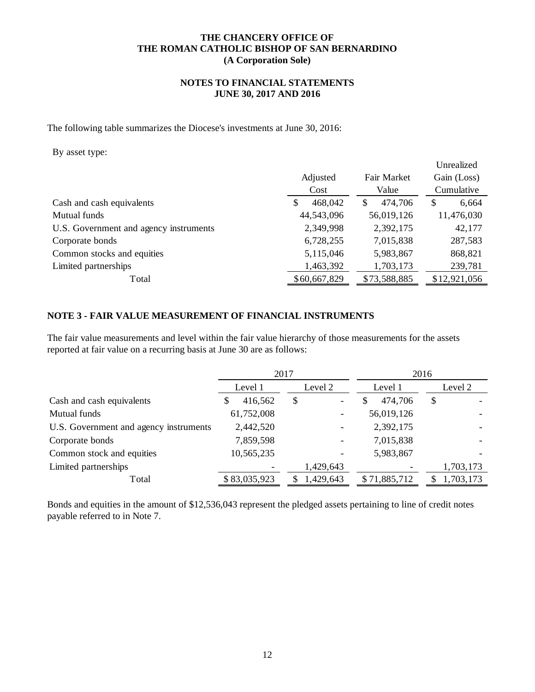## **NOTES TO FINANCIAL STATEMENTS JUNE 30, 2017 AND 2016**

The following table summarizes the Diocese's investments at June 30, 2016:

By asset type:

| Adjusted<br>Fair Market<br>Value<br>Cost |               | Unrealized<br>Gain (Loss)<br>Cumulative |  |
|------------------------------------------|---------------|-----------------------------------------|--|
| 468,042<br>S                             | 474,706<br>\$ | 6,664<br>\$                             |  |
| 44,543,096                               | 56,019,126    | 11,476,030                              |  |
| 2,349,998                                | 2,392,175     | 42,177                                  |  |
| 6,728,255                                | 7,015,838     | 287,583                                 |  |
| 5,115,046                                | 5,983,867     | 868,821                                 |  |
| 1,463,392                                | 1,703,173     | 239,781                                 |  |
| \$60,667,829                             | \$73,588,885  | \$12,921,056                            |  |
|                                          |               |                                         |  |

## **NOTE 3 - FAIR VALUE MEASUREMENT OF FINANCIAL INSTRUMENTS**

The fair value measurements and level within the fair value hierarchy of those measurements for the assets reported at fair value on a recurring basis at June 30 are as follows:

|                                        |               | 2017      | 2016               |           |  |
|----------------------------------------|---------------|-----------|--------------------|-----------|--|
|                                        | Level 1       | Level 2   | Level 2<br>Level 1 |           |  |
| Cash and cash equivalents              | 416,562<br>\$ | \$        | 474,706<br>S       | \$        |  |
| Mutual funds                           | 61,752,008    |           | 56,019,126         |           |  |
| U.S. Government and agency instruments | 2,442,520     |           | 2,392,175          |           |  |
| Corporate bonds                        | 7,859,598     |           | 7,015,838          |           |  |
| Common stock and equities              | 10,565,235    |           | 5,983,867          |           |  |
| Limited partnerships                   |               | 1,429,643 |                    | 1,703,173 |  |
| Total                                  | \$83,035,923  | 1,429,643 | \$71,885,712       | 1,703,173 |  |

Bonds and equities in the amount of \$12,536,043 represent the pledged assets pertaining to line of credit notes payable referred to in Note 7.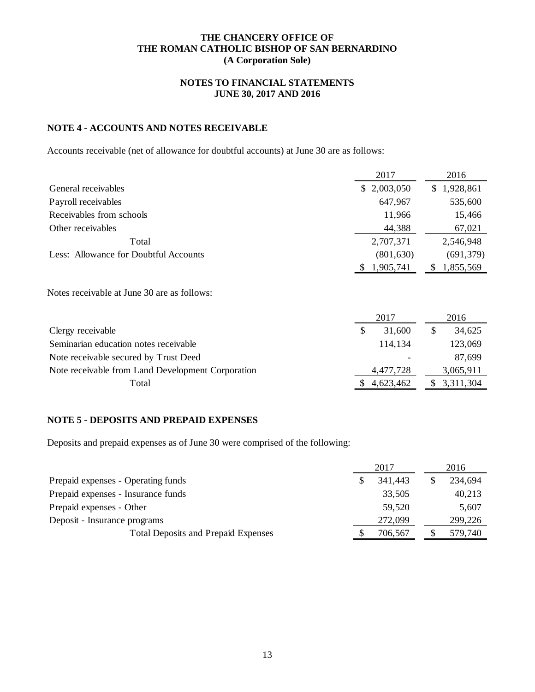## **NOTES TO FINANCIAL STATEMENTS JUNE 30, 2017 AND 2016**

## **NOTE 4 - ACCOUNTS AND NOTES RECEIVABLE**

Accounts receivable (net of allowance for doubtful accounts) at June 30 are as follows:

|                                       | 2017        | 2016        |
|---------------------------------------|-------------|-------------|
| General receivables                   | \$2,003,050 | \$1,928,861 |
| Payroll receivables                   | 647,967     | 535,600     |
| Receivables from schools              | 11,966      | 15,466      |
| Other receivables                     | 44,388      | 67,021      |
| Total                                 | 2,707,371   | 2,546,948   |
| Less: Allowance for Doubtful Accounts | (801, 630)  | (691, 379)  |
|                                       | 1,905,741   | 1,855,569   |

Notes receivable at June 30 are as follows:

|                                                   | 2017      | 2016      |  |
|---------------------------------------------------|-----------|-----------|--|
| Clergy receivable                                 | 31,600    | 34,625    |  |
| Seminarian education notes receivable             | 114,134   | 123,069   |  |
| Note receivable secured by Trust Deed             |           | 87.699    |  |
| Note receivable from Land Development Corporation | 4,477,728 | 3,065,911 |  |
| Total                                             | 4,623,462 | 3,311,304 |  |

## **NOTE 5 - DEPOSITS AND PREPAID EXPENSES**

Deposits and prepaid expenses as of June 30 were comprised of the following:

|                                            |  | 2017    |  | 2016    |  |
|--------------------------------------------|--|---------|--|---------|--|
| Prepaid expenses - Operating funds         |  | 341,443 |  | 234,694 |  |
| Prepaid expenses - Insurance funds         |  | 33,505  |  | 40,213  |  |
| Prepaid expenses - Other                   |  | 59.520  |  | 5,607   |  |
| Deposit - Insurance programs               |  | 272,099 |  | 299,226 |  |
| <b>Total Deposits and Prepaid Expenses</b> |  | 706,567 |  | 579,740 |  |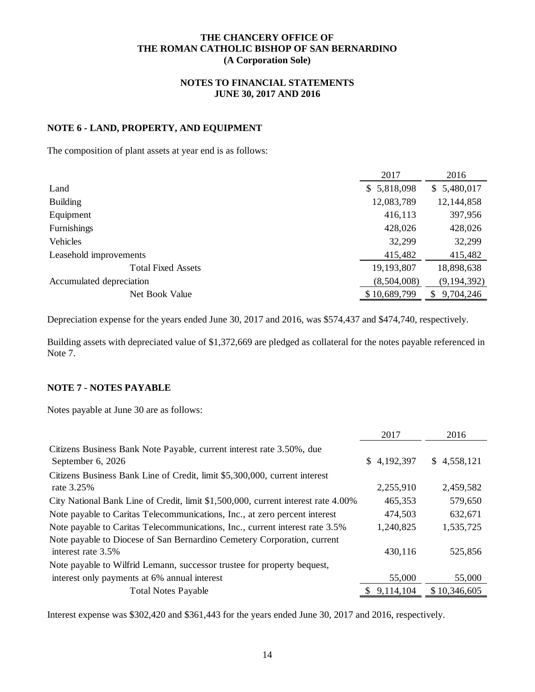## **NOTES TO FINANCIAL STATEMENTS JUNE 30, 2017 AND 2016**

## **NOTE 6 - LAND, PROPERTY, AND EQUIPMENT**

The composition of plant assets at year end is as follows:

|                           | 2017         | 2016           |
|---------------------------|--------------|----------------|
| Land                      | \$5,818,098  | \$5,480,017    |
| <b>Building</b>           | 12,083,789   | 12, 144, 858   |
| Equipment                 | 416,113      | 397,956        |
| Furnishings               | 428,026      | 428,026        |
| Vehicles                  | 32,299       | 32,299         |
| Leasehold improvements    | 415,482      | 415,482        |
| <b>Total Fixed Assets</b> | 19, 193, 807 | 18,898,638     |
| Accumulated depreciation  | (8,504,008)  | (9, 194, 392)  |
| Net Book Value            | \$10,689,799 | 9,704,246<br>S |

Depreciation expense for the years ended June 30, 2017 and 2016, was \$574,437 and \$474,740, respectively.

Building assets with depreciated value of \$1,372,669 are pledged as collateral for the notes payable referenced in Note 7.

#### **NOTE 7 - NOTES PAYABLE**

Notes payable at June 30 are as follows:

|                                                                                   | 2017        | 2016         |
|-----------------------------------------------------------------------------------|-------------|--------------|
| Citizens Business Bank Note Payable, current interest rate 3.50%, due             |             |              |
| September 6, 2026                                                                 | \$4,192,397 | \$4,558,121  |
| Citizens Business Bank Line of Credit, limit \$5,300,000, current interest        |             |              |
| rate 3.25%                                                                        | 2,255,910   | 2,459,582    |
| City National Bank Line of Credit, limit \$1,500,000, current interest rate 4.00% | 465,353     | 579,650      |
| Note payable to Caritas Telecommunications, Inc., at zero percent interest        | 474,503     | 632,671      |
| Note payable to Caritas Telecommunications, Inc., current interest rate 3.5%      | 1,240,825   | 1,535,725    |
| Note payable to Diocese of San Bernardino Cemetery Corporation, current           |             |              |
| interest rate 3.5%                                                                | 430,116     | 525,856      |
| Note payable to Wilfrid Lemann, successor trustee for property bequest,           |             |              |
| interest only payments at 6% annual interest                                      | 55,000      | 55,000       |
| <b>Total Notes Payable</b>                                                        | 9,114,104   | \$10,346,605 |

Interest expense was \$302,420 and \$361,443 for the years ended June 30, 2017 and 2016, respectively.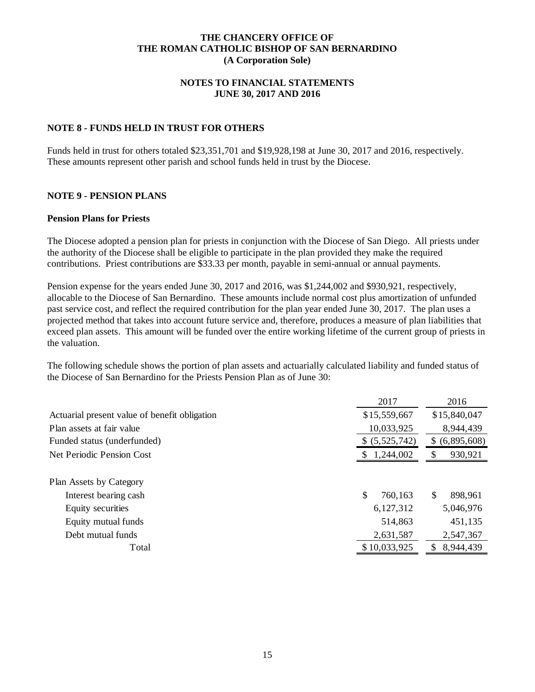#### **NOTES TO FINANCIAL STATEMENTS JUNE 30, 2017 AND 2016**

#### **NOTE 8 - FUNDS HELD IN TRUST FOR OTHERS**

Funds held in trust for others totaled \$23,351,701 and \$19,928,198 at June 30, 2017 and 2016, respectively. These amounts represent other parish and school funds held in trust by the Diocese.

#### **NOTE 9 - PENSION PLANS**

#### **Pension Plans for Priests**

The Diocese adopted a pension plan for priests in conjunction with the Diocese of San Diego. All priests under the authority of the Diocese shall be eligible to participate in the plan provided they make the required contributions. Priest contributions are \$33.33 per month, payable in semi-annual or annual payments.

Pension expense for the years ended June 30, 2017 and 2016, was \$1,244,002 and \$930,921, respectively, allocable to the Diocese of San Bernardino. These amounts include normal cost plus amortization of unfunded past service cost, and reflect the required contribution for the plan year ended June 30, 2017. The plan uses a projected method that takes into account future service and, therefore, produces a measure of plan liabilities that exceed plan assets. This amount will be funded over the entire working lifetime of the current group of priests in the valuation.

The following schedule shows the portion of plan assets and actuarially calculated liability and funded status of the Diocese of San Bernardino for the Priests Pension Plan as of June 30:

|                                               | 2017           | 2016           |
|-----------------------------------------------|----------------|----------------|
| Actuarial present value of benefit obligation | \$15,559,667   | \$15,840,047   |
| Plan assets at fair value                     | 10,033,925     | 8,944,439      |
| Funded status (underfunded)                   | \$ (5,525,742) | \$ (6,895,608) |
| Net Periodic Pension Cost                     | 1,244,002      | 930,921<br>ה.  |
|                                               |                |                |
| Plan Assets by Category                       |                |                |
| Interest bearing cash                         | \$<br>760,163  | \$<br>898,961  |
| Equity securities                             | 6,127,312      | 5,046,976      |
| Equity mutual funds                           | 514,863        | 451,135        |
| Debt mutual funds                             | 2,631,587      | 2,547,367      |
| Total                                         | \$10,033,925   | 8,944,439<br>S |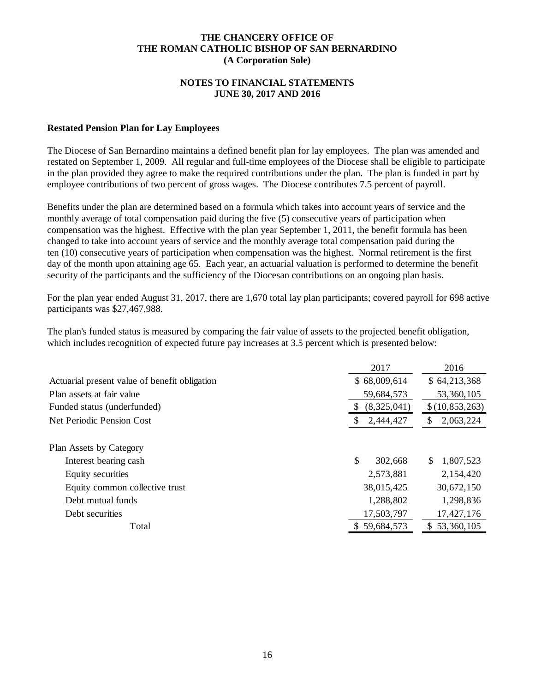#### **NOTES TO FINANCIAL STATEMENTS JUNE 30, 2017 AND 2016**

#### **Restated Pension Plan for Lay Employees**

The Diocese of San Bernardino maintains a defined benefit plan for lay employees. The plan was amended and restated on September 1, 2009. All regular and full-time employees of the Diocese shall be eligible to participate in the plan provided they agree to make the required contributions under the plan. The plan is funded in part by employee contributions of two percent of gross wages. The Diocese contributes 7.5 percent of payroll.

Benefits under the plan are determined based on a formula which takes into account years of service and the monthly average of total compensation paid during the five (5) consecutive years of participation when compensation was the highest. Effective with the plan year September 1, 2011, the benefit formula has been changed to take into account years of service and the monthly average total compensation paid during the ten (10) consecutive years of participation when compensation was the highest. Normal retirement is the first day of the month upon attaining age 65. Each year, an actuarial valuation is performed to determine the benefit security of the participants and the sufficiency of the Diocesan contributions on an ongoing plan basis.

For the plan year ended August 31, 2017, there are 1,670 total lay plan participants; covered payroll for 698 active participants was \$27,467,988.

The plan's funded status is measured by comparing the fair value of assets to the projected benefit obligation, which includes recognition of expected future pay increases at 3.5 percent which is presented below:

|                                               | 2017           | 2016             |
|-----------------------------------------------|----------------|------------------|
| Actuarial present value of benefit obligation | \$68,009,614   | \$64,213,368     |
| Plan assets at fair value                     | 59,684,573     | 53,360,105       |
| Funded status (underfunded)                   | (8,325,041)    | \$(10,853,263)   |
| Net Periodic Pension Cost                     | 2,444,427<br>S | 2,063,224<br>S   |
|                                               |                |                  |
| Plan Assets by Category                       |                |                  |
| Interest bearing cash                         | \$<br>302,668  | 1,807,523<br>\$. |
| Equity securities                             | 2,573,881      | 2,154,420        |
| Equity common collective trust                | 38,015,425     | 30,672,150       |
| Debt mutual funds                             | 1,288,802      | 1,298,836        |
| Debt securities                               | 17,503,797     | 17,427,176       |
| Total                                         | \$59,684,573   | \$53,360,105     |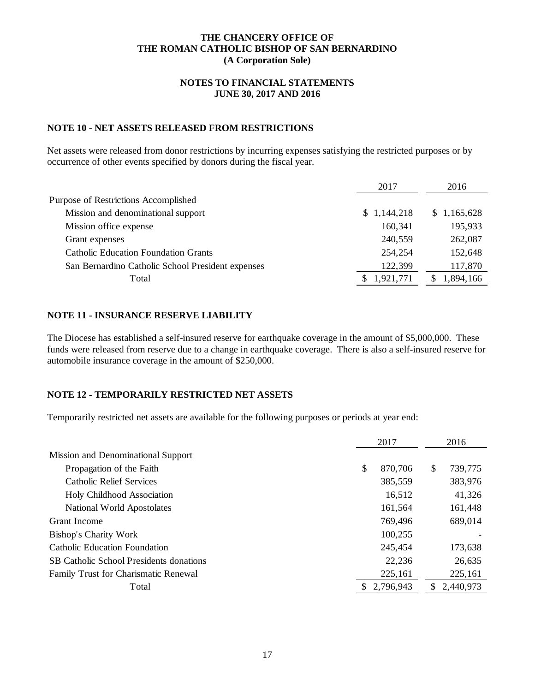## **NOTES TO FINANCIAL STATEMENTS JUNE 30, 2017 AND 2016**

#### **NOTE 10 - NET ASSETS RELEASED FROM RESTRICTIONS**

Net assets were released from donor restrictions by incurring expenses satisfying the restricted purposes or by occurrence of other events specified by donors during the fiscal year.

|                                                   | 2017        | 2016            |
|---------------------------------------------------|-------------|-----------------|
| Purpose of Restrictions Accomplished              |             |                 |
| Mission and denominational support                | \$1,144,218 | \$1,165,628     |
| Mission office expense                            | 160,341     | 195,933         |
| Grant expenses                                    | 240,559     | 262,087         |
| <b>Catholic Education Foundation Grants</b>       | 254,254     | 152,648         |
| San Bernardino Catholic School President expenses | 122,399     | 117,870         |
| Total                                             | 1,921,771   | 1,894,166<br>S. |

#### **NOTE 11 - INSURANCE RESERVE LIABILITY**

The Diocese has established a self-insured reserve for earthquake coverage in the amount of \$5,000,000. These funds were released from reserve due to a change in earthquake coverage. There is also a self-insured reserve for automobile insurance coverage in the amount of \$250,000.

# **NOTE 12 - TEMPORARILY RESTRICTED NET ASSETS**

Temporarily restricted net assets are available for the following purposes or periods at year end:

|                                                | 2017 |           |              | 2016      |  |
|------------------------------------------------|------|-----------|--------------|-----------|--|
| Mission and Denominational Support             |      |           |              |           |  |
| Propagation of the Faith                       | \$   | 870,706   | <sup>S</sup> | 739,775   |  |
| <b>Catholic Relief Services</b>                |      | 385,559   |              | 383,976   |  |
| <b>Holy Childhood Association</b>              |      | 16,512    |              | 41,326    |  |
| <b>National World Apostolates</b>              |      | 161,564   |              | 161,448   |  |
| <b>Grant Income</b>                            |      | 769,496   |              | 689,014   |  |
| <b>Bishop's Charity Work</b>                   |      | 100,255   |              |           |  |
| <b>Catholic Education Foundation</b>           |      | 245,454   |              | 173,638   |  |
| <b>SB</b> Catholic School Presidents donations |      | 22,236    |              | 26,635    |  |
| Family Trust for Charismatic Renewal           |      | 225,161   |              | 225,161   |  |
| Total                                          |      | 2,796,943 |              | 2,440,973 |  |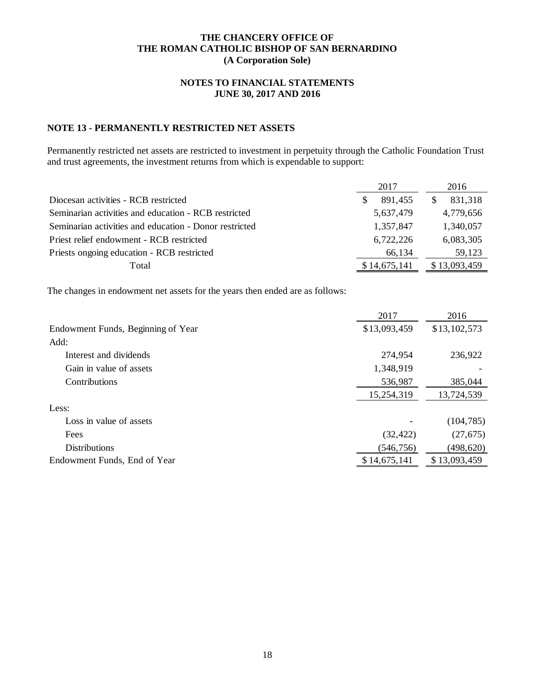## **NOTES TO FINANCIAL STATEMENTS JUNE 30, 2017 AND 2016**

## **NOTE 13 - PERMANENTLY RESTRICTED NET ASSETS**

Permanently restricted net assets are restricted to investment in perpetuity through the Catholic Foundation Trust and trust agreements, the investment returns from which is expendable to support:

|                                                        | 2017          | 2016         |
|--------------------------------------------------------|---------------|--------------|
| Diocesan activities - RCB restricted                   | 891.455<br>S. | 831,318      |
| Seminarian activities and education - RCB restricted   | 5,637,479     | 4,779,656    |
| Seminarian activities and education - Donor restricted | 1,357,847     | 1,340,057    |
| Priest relief endowment - RCB restricted               | 6,722,226     | 6,083,305    |
| Priests ongoing education - RCB restricted             | 66,134        | 59,123       |
| Total                                                  | \$14,675,141  | \$13,093,459 |

The changes in endowment net assets for the years then ended are as follows:

|                                    | 2017         | 2016         |
|------------------------------------|--------------|--------------|
| Endowment Funds, Beginning of Year | \$13,093,459 | \$13,102,573 |
| Add:                               |              |              |
| Interest and dividends             | 274,954      | 236,922      |
| Gain in value of assets            | 1,348,919    |              |
| Contributions                      | 536,987      | 385,044      |
|                                    | 15,254,319   | 13,724,539   |
| Less:                              |              |              |
| Loss in value of assets            |              | (104, 785)   |
| Fees                               | (32, 422)    | (27, 675)    |
| <b>Distributions</b>               | (546, 756)   | (498, 620)   |
| Endowment Funds, End of Year       | \$14,675,141 | \$13,093,459 |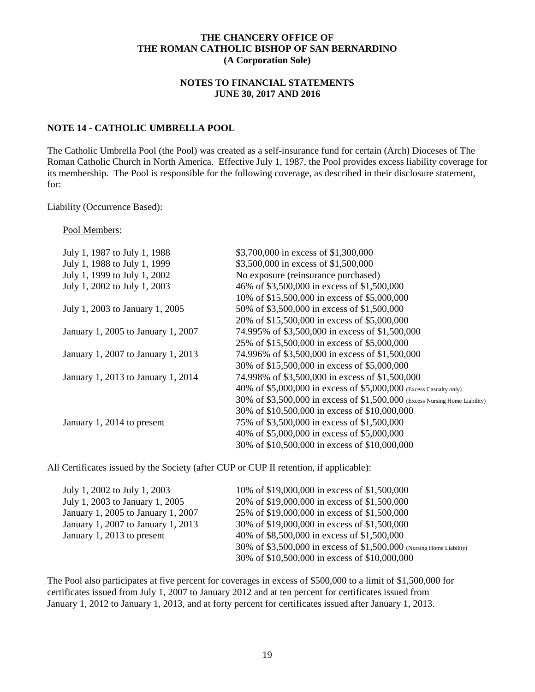#### **NOTES TO FINANCIAL STATEMENTS JUNE 30, 2017 AND 2016**

#### **NOTE 14 - CATHOLIC UMBRELLA POOL**

The Catholic Umbrella Pool (the Pool) was created as a self-insurance fund for certain (Arch) Dioceses of The Roman Catholic Church in North America. Effective July 1, 1987, the Pool provides excess liability coverage for its membership. The Pool is responsible for the following coverage, as described in their disclosure statement, for:

#### Liability (Occurrence Based):

#### Pool Members:

| July 1, 1987 to July 1, 1988       | \$3,700,000 in excess of \$1,300,000                                        |
|------------------------------------|-----------------------------------------------------------------------------|
| July 1, 1988 to July 1, 1999       | \$3,500,000 in excess of \$1,500,000                                        |
| July 1, 1999 to July 1, 2002       | No exposure (reinsurance purchased)                                         |
| July 1, 2002 to July 1, 2003       | 46% of \$3,500,000 in excess of \$1,500,000                                 |
|                                    | 10% of \$15,500,000 in excess of \$5,000,000                                |
| July 1, 2003 to January 1, 2005    | 50% of \$3,500,000 in excess of \$1,500,000                                 |
|                                    | 20% of \$15,500,000 in excess of \$5,000,000                                |
| January 1, 2005 to January 1, 2007 | 74.995% of \$3,500,000 in excess of \$1,500,000                             |
|                                    | 25% of \$15,500,000 in excess of \$5,000,000                                |
| January 1, 2007 to January 1, 2013 | 74.996% of \$3,500,000 in excess of \$1,500,000                             |
|                                    | 30% of \$15,500,000 in excess of \$5,000,000                                |
| January 1, 2013 to January 1, 2014 | 74.998% of \$3,500,000 in excess of \$1,500,000                             |
|                                    | 40% of \$5,000,000 in excess of \$5,000,000 (Excess Casualty only)          |
|                                    | 30% of \$3,500,000 in excess of \$1,500,000 (Excess Nursing Home Liability) |
|                                    | 30% of \$10,500,000 in excess of \$10,000,000                               |
| January 1, 2014 to present         | 75% of \$3,500,000 in excess of \$1,500,000                                 |
|                                    | 40% of \$5,000,000 in excess of \$5,000,000                                 |
|                                    | 30% of \$10,500,000 in excess of \$10,000,000                               |

All Certificates issued by the Society (after CUP or CUP II retention, if applicable):

| July 1, 2002 to July 1, 2003       | 10% of \$19,000,000 in excess of \$1,500,000                         |
|------------------------------------|----------------------------------------------------------------------|
| July 1, 2003 to January 1, 2005    | 20% of \$19,000,000 in excess of \$1,500,000                         |
| January 1, 2005 to January 1, 2007 | 25% of \$19,000,000 in excess of \$1,500,000                         |
| January 1, 2007 to January 1, 2013 | 30% of \$19,000,000 in excess of \$1,500,000                         |
| January 1, 2013 to present         | 40% of \$8,500,000 in excess of \$1,500,000                          |
|                                    | 30% of \$3,500,000 in excess of \$1,500,000 (Nursing Home Liability) |
|                                    | 30% of \$10,500,000 in excess of \$10,000,000                        |

The Pool also participates at five percent for coverages in excess of \$500,000 to a limit of \$1,500,000 for certificates issued from July 1, 2007 to January 2012 and at ten percent for certificates issued from January 1, 2012 to January 1, 2013, and at forty percent for certificates issued after January 1, 2013.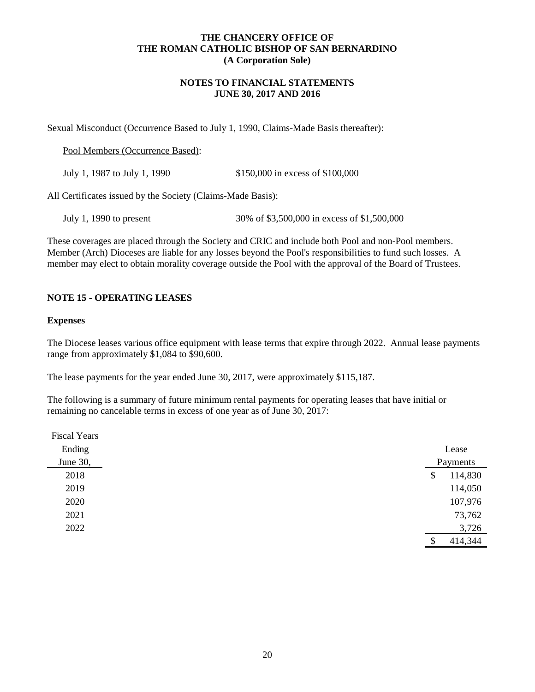#### **NOTES TO FINANCIAL STATEMENTS JUNE 30, 2017 AND 2016**

Sexual Misconduct (Occurrence Based to July 1, 1990, Claims-Made Basis thereafter):

Pool Members (Occurrence Based):

July 1, 1987 to July 1, 1990 \$150,000 in excess of \$100,000

All Certificates issued by the Society (Claims-Made Basis):

July 1, 1990 to present 30% of \$3,500,000 in excess of \$1,500,000

These coverages are placed through the Society and CRIC and include both Pool and non-Pool members. Member (Arch) Dioceses are liable for any losses beyond the Pool's responsibilities to fund such losses. A member may elect to obtain morality coverage outside the Pool with the approval of the Board of Trustees.

## **NOTE 15 - OPERATING LEASES**

#### **Expenses**

The Diocese leases various office equipment with lease terms that expire through 2022. Annual lease payments range from approximately \$1,084 to \$90,600.

The lease payments for the year ended June 30, 2017, were approximately \$115,187.

The following is a summary of future minimum rental payments for operating leases that have initial or remaining no cancelable terms in excess of one year as of June 30, 2017:

| <b>Fiscal Years</b> |               |
|---------------------|---------------|
| Ending              | Lease         |
| June 30,            | Payments      |
| 2018                | 114,830<br>\$ |
| 2019                | 114,050       |
| 2020                | 107,976       |
| 2021                | 73,762        |
| 2022                | 3,726         |
|                     | 414,344<br>\$ |